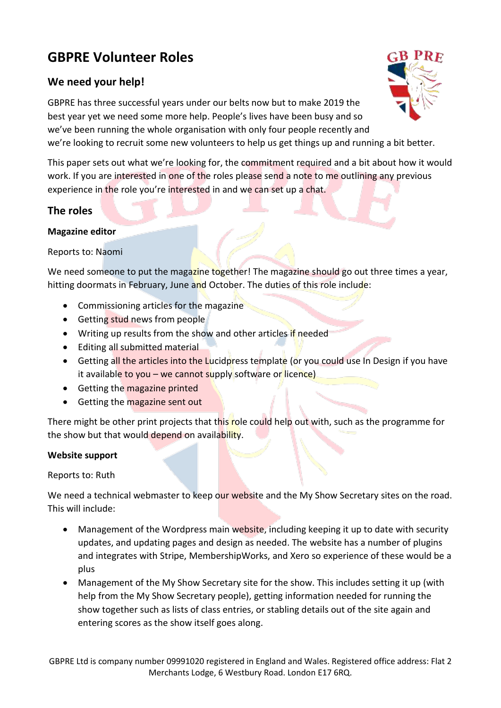# **GBPRE Volunteer Roles**

## **We need your help!**

GBPRE has three successful years under our belts now but to make 2019 the best year yet we need some more help. People's lives have been busy and so we've been running the whole organisation with only four people recently and we're looking to recruit some new volunteers to help us get things up and running a bit better.

This paper sets out what we're looking for, the commitment required and a bit about how it would work. If you are interested in one of the roles please send a note to me outlining any previous experience in the role you're interested in and we can set up a chat.

## **The roles**

#### **Magazine editor**

Reports to: Naomi

We need someone to put the magazine together! The magazine should go out three times a year, hitting doormats in February, June and October. The duties of this role include:

- Commissioning articles for the magazine
- Getting stud news from people
- Writing up results from the show and other articles if needed
- Editing all submitted material
- Getting all the articles into the Lucidpress template (or you could use In Design if you have it available to you – we cannot supply software or licence)
- Getting the magazine printed
- Getting the magazine sent out

There might be other print projects that this role could help out with, such as the programme for the show but that would depend on availability.

#### **Website support**

Reports to: Ruth

We need a technical webmaster to keep our website and the My Show Secretary sites on the road. This will include:

- Management of the Wordpress main website, including keeping it up to date with security updates, and updating pages and design as needed. The website has a number of plugins and integrates with Stripe, MembershipWorks, and Xero so experience of these would be a plus
- Management of the My Show Secretary site for the show. This includes setting it up (with help from the My Show Secretary people), getting information needed for running the show together such as lists of class entries, or stabling details out of the site again and entering scores as the show itself goes along.

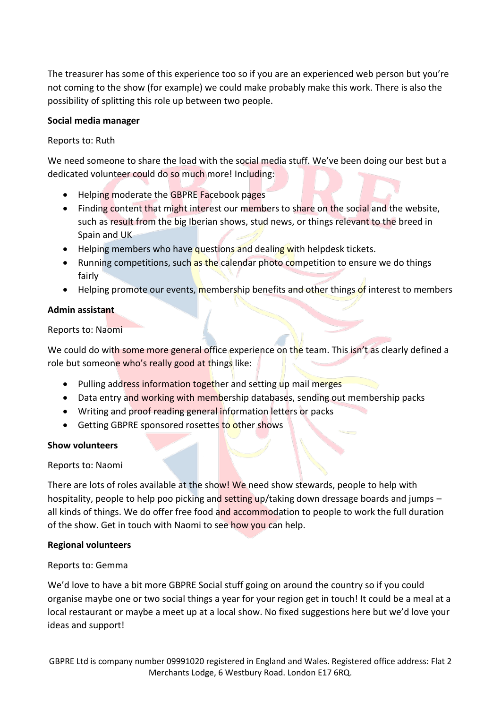The treasurer has some of this experience too so if you are an experienced web person but you're not coming to the show (for example) we could make probably make this work. There is also the possibility of splitting this role up between two people.

#### **Social media manager**

#### Reports to: Ruth

We need someone to share the load with the social media stuff. We've been doing our best but a dedicated volunteer could do so much more! Including:

- Helping moderate the GBPRE Facebook pages
- Finding content that might interest our members to share on the social and the website, such as result from the big Iberian shows, stud news, or things relevant to the breed in Spain and UK
- Helping members who have questions and dealing with helpdesk tickets.
- Running competitions, such as the calendar photo competition to ensure we do things fairly
- Helping promote our events, membership benefits and other things of interest to members

#### **Admin assistant**

Reports to: Naomi

We could do with some more general office experience on the team. This isn't as clearly defined a role but someone who's really good at things like:

- Pulling address information together and setting up mail merges
- Data entry and working with membership databases, sending out membership packs
- Writing and proof reading general information letters or packs
- Getting GBPRE sponsored rosettes to other shows

#### **Show volunteers**

#### Reports to: Naomi

There are lots of roles available at the show! We need show stewards, people to help with hospitality, people to help poo picking and setting up/taking down dressage boards and jumps – all kinds of things. We do offer free food and accommodation to people to work the full duration of the show. Get in touch with Naomi to see how you can help.

#### **Regional volunteers**

#### Reports to: Gemma

We'd love to have a bit more GBPRE Social stuff going on around the country so if you could organise maybe one or two social things a year for your region get in touch! It could be a meal at a local restaurant or maybe a meet up at a local show. No fixed suggestions here but we'd love your ideas and support!